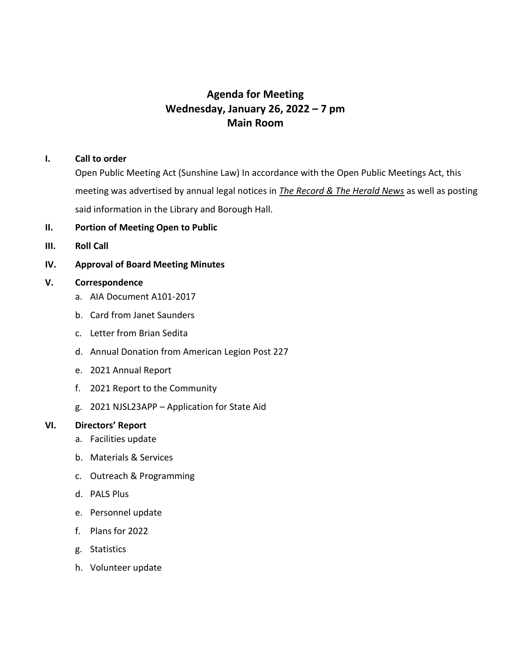# **Agenda for Meeting Wednesday, January 26, 2022 – 7 pm Main Room**

## **I. Call to order**

Open Public Meeting Act (Sunshine Law) In accordance with the Open Public Meetings Act, this meeting was advertised by annual legal notices in *The Record & The Herald News* as well as posting said information in the Library and Borough Hall.

# **II. Portion of Meeting Open to Public**

**III. Roll Call**

# **IV. Approval of Board Meeting Minutes**

## **V. Correspondence**

- a. AIA Document A101-2017
- b. Card from Janet Saunders
- c. Letter from Brian Sedita
- d. Annual Donation from American Legion Post 227
- e. 2021 Annual Report
- f. 2021 Report to the Community
- g. 2021 NJSL23APP Application for State Aid

## **VI. Directors' Report**

- a. Facilities update
- b. Materials & Services
- c. Outreach & Programming
- d. PALS Plus
- e. Personnel update
- f. Plans for 2022
- g. Statistics
- h. Volunteer update